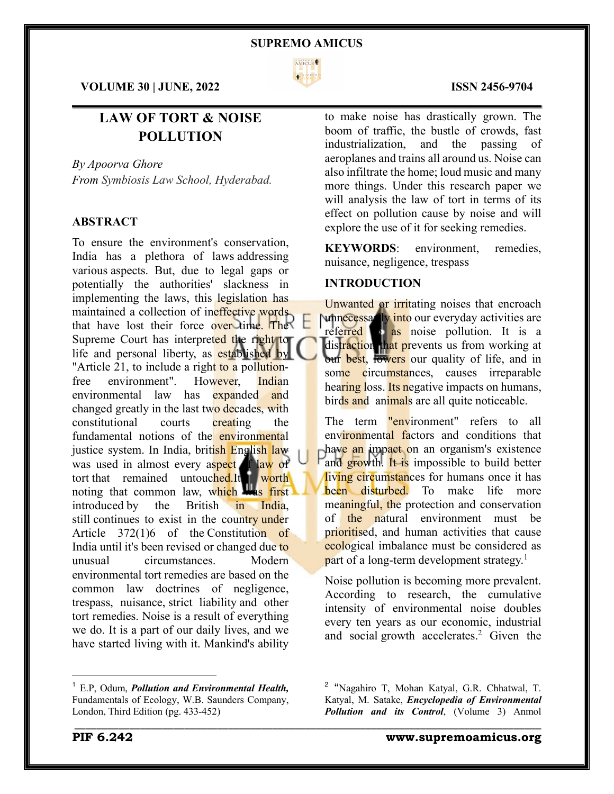

**VOLUME 30 | JUNE, 2022 ISSN 2456-9704**

# **LAW OF TORT & NOISE POLLUTION**

*By Apoorva Ghore From Symbiosis Law School, Hyderabad.*

# **ABSTRACT**

To ensure the environment's conservation, India has a plethora of laws addressing various aspects. But, due to legal gaps or potentially the authorities' slackness in implementing the laws, this legislation has maintained a collection of ineffective words that have lost their force over time. The Supreme Court has interpreted the right to life and personal liberty, as established by "Article 21, to include a right to a pollutionfree environment". However, Indian environmental law has expanded and changed greatly in the last two decades, with constitutional courts creating the fundamental notions of the environmental justice system. In India, british English law was used in almost every aspect of law of tort that remained untouched.It worth noting that common law, which was first introduced by the British in India, still continues to exist in the country under Article 372(1)6 of the Constitution of India until it's been revised or changed due to unusual circumstances. Modern environmental tort remedies are based on the common law doctrines of negligence, trespass, nuisance, strict liability and other tort remedies. Noise is a result of everything we do. It is a part of our daily lives, and we have started living with it. Mankind's ability

to make noise has drastically grown. The boom of traffic, the bustle of crowds, fast industrialization, and the passing of aeroplanes and trains all around us. Noise can also infiltrate the home; loud music and many more things. Under this research paper we will analysis the law of tort in terms of its effect on pollution cause by noise and will explore the use of it for seeking remedies.

**KEYWORDS**: environment, remedies, nuisance, negligence, trespass

# **INTRODUCTION**

Unwanted or irritating noises that encroach unnecessarily into our everyday activities are referred **to as noise** pollution. It is a distraction that prevents us from working at our best, lowers our quality of life, and in some circumstances, causes irreparable hearing loss. Its negative impacts on humans, birds and animals are all quite noticeable.

The term "environment" refers to all environmental factors and conditions that have an impact on an organism's existence and growth. It is impossible to build better living circumstances for humans once it has been disturbed. To make life more meaningful, the protection and conservation of the natural environment must be prioritised, and human activities that cause ecological imbalance must be considered as part of a long-term development strategy.<sup>1</sup>

Noise pollution is becoming more prevalent. According to research, the cumulative intensity of environmental noise doubles every ten years as our economic, industrial and social growth accelerates.<sup>2</sup> Given the

\_\_\_\_\_\_\_\_\_\_\_\_\_\_\_\_\_\_\_\_\_\_\_\_\_\_\_\_\_\_\_\_\_\_\_\_\_\_\_\_\_\_\_\_\_\_\_\_\_\_\_\_\_\_\_\_\_\_\_\_\_\_\_\_\_\_\_\_\_\_\_\_\_\_\_\_\_\_\_\_\_\_\_\_\_

# $\mathcal{L}_\mathcal{L} = \mathcal{L}_\mathcal{L} = \mathcal{L}_\mathcal{L} = \mathcal{L}_\mathcal{L} = \mathcal{L}_\mathcal{L} = \mathcal{L}_\mathcal{L} = \mathcal{L}_\mathcal{L} = \mathcal{L}_\mathcal{L} = \mathcal{L}_\mathcal{L} = \mathcal{L}_\mathcal{L} = \mathcal{L}_\mathcal{L} = \mathcal{L}_\mathcal{L} = \mathcal{L}_\mathcal{L} = \mathcal{L}_\mathcal{L} = \mathcal{L}_\mathcal{L} = \mathcal{L}_\mathcal{L} = \mathcal{L}_\mathcal{L}$

<sup>1</sup> E.P, Odum, *Pollution and Environmental Health,* Fundamentals of Ecology, W.B. Saunders Company, London, Third Edition (pg. 433-452)

<sup>&</sup>lt;sup>2</sup> "Nagahiro T, Mohan Katyal, G.R. Chhatwal, T. Katyal, M. Satake, *Encyclopedia of Environmental Pollution and its Control*, (Volume 3) Anmol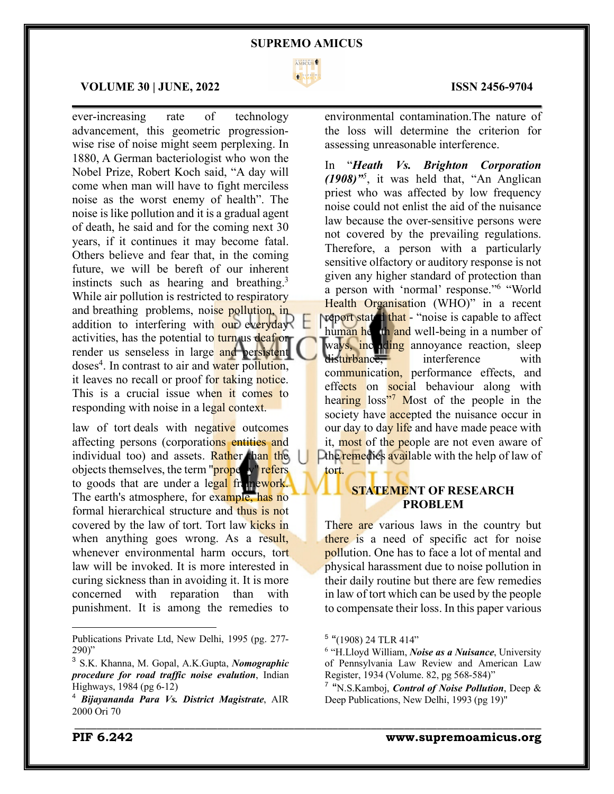

 $\mathcal{L}_\mathcal{L} = \mathcal{L}_\mathcal{L} = \mathcal{L}_\mathcal{L} = \mathcal{L}_\mathcal{L} = \mathcal{L}_\mathcal{L} = \mathcal{L}_\mathcal{L} = \mathcal{L}_\mathcal{L} = \mathcal{L}_\mathcal{L} = \mathcal{L}_\mathcal{L} = \mathcal{L}_\mathcal{L} = \mathcal{L}_\mathcal{L} = \mathcal{L}_\mathcal{L} = \mathcal{L}_\mathcal{L} = \mathcal{L}_\mathcal{L} = \mathcal{L}_\mathcal{L} = \mathcal{L}_\mathcal{L} = \mathcal{L}_\mathcal{L}$ 

### **VOLUME 30 | JUNE, 2022 ISSN 2456-9704**

ever-increasing rate of technology advancement, this geometric progressionwise rise of noise might seem perplexing. In 1880, A German bacteriologist who won the Nobel Prize, Robert Koch said, "A day will come when man will have to fight merciless noise as the worst enemy of health". The noise islike pollution and it is a gradual agent of death, he said and for the coming next 30 years, if it continues it may become fatal. Others believe and fear that, in the coming future, we will be bereft of our inherent instincts such as hearing and breathing.3 While air pollution is restricted to respiratory and breathing problems, noise pollution, in addition to interfering with our everyday? activities, has the potential to turn us deaf or render us senseless in large and persistent doses<sup>4</sup>. In contrast to air and water pollution, it leaves no recall or proof for taking notice. This is a crucial issue when it comes to responding with noise in a legal context.

law of tort deals with negative outcomes affecting persons (corporations entities and individual too) and assets. Rather than the objects themselves, the term "property" refers to goods that are under a legal framework. The earth's atmosphere, for example, has no formal hierarchical structure and thus is not covered by the law of tort. Tort law kicks in when anything goes wrong. As a result, whenever environmental harm occurs, tort law will be invoked. It is more interested in curing sickness than in avoiding it. It is more concerned with reparation than with punishment. It is among the remedies to

Publications Private Ltd, New Delhi, 1995 (pg. 277- 290)"

environmental contamination.The nature of the loss will determine the criterion for assessing unreasonable interference.

In "*Heath Vs. Brighton Corporation (1908)"<sup>5</sup>* , it was held that, "An Anglican priest who was affected by low frequency noise could not enlist the aid of the nuisance law because the over-sensitive persons were not covered by the prevailing regulations. Therefore, a person with a particularly sensitive olfactory or auditory response is not given any higher standard of protection than a person with 'normal' response."6 "World Health Organisation (WHO)" in a recent **report stated that** - "noise is capable to affect human health and well-being in a number of ways, inculting annoyance reaction, sleep disturbance, interference with communication, performance effects, and effects on social behaviour along with hearing loss<sup>"7</sup> Most of the people in the society have **accepted** the nuisance occur in our day to day life and have made peace with it, most of the people are not even aware of Libe remedies available with the help of law of

# **STATEMENT OF RESEARCH PROBLEM**

There are various laws in the country but there is a need of specific act for noise pollution. One has to face a lot of mental and physical harassment due to noise pollution in their daily routine but there are few remedies in law of tort which can be used by the people to compensate their loss. In this paper various

tort.

\_\_\_\_\_\_\_\_\_\_\_\_\_\_\_\_\_\_\_\_\_\_\_\_\_\_\_\_\_\_\_\_\_\_\_\_\_\_\_\_\_\_\_\_\_\_\_\_\_\_\_\_\_\_\_\_\_\_\_\_\_\_\_\_\_\_\_\_\_\_\_\_\_\_\_\_\_\_\_\_\_\_\_\_\_

<sup>3</sup> S.K. Khanna, M. Gopal, A.K.Gupta, *Nomographic procedure for road traffic noise evalution*, Indian Highways, 1984 (pg 6-12)

<sup>4</sup> *Bijayananda Para Vs. District Magistrate*, AIR 2000 Ori 70

<sup>5</sup> "(1908) 24 TLR 414"

<sup>6</sup> "H.Lloyd William, *Noise as a Nuisance*, University of Pennsylvania Law Review and American Law Register, 1934 (Volume. 82, pg 568-584)"

<sup>7</sup> "N.S.Kamboj, *Control of Noise Pollution*, Deep & Deep Publications, New Delhi, 1993 (pg 19)"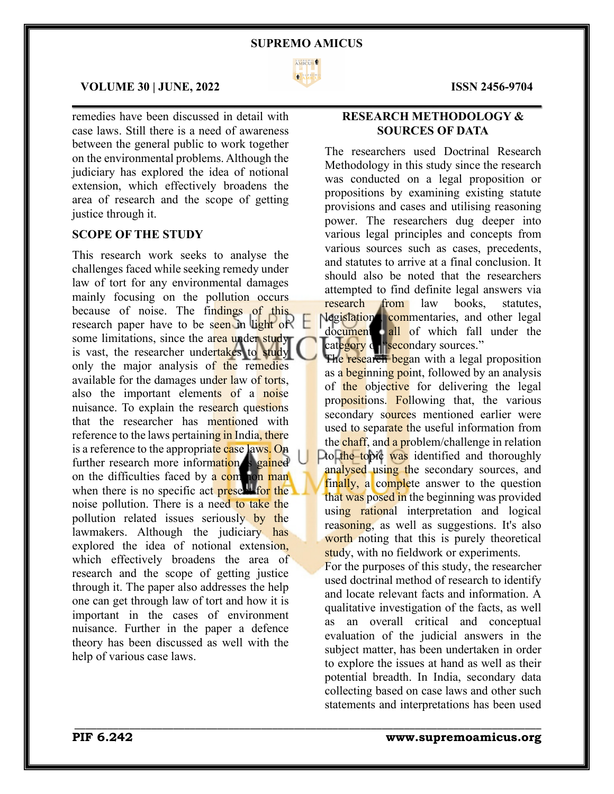

 $\mathcal{L}_\mathcal{L} = \mathcal{L}_\mathcal{L} = \mathcal{L}_\mathcal{L} = \mathcal{L}_\mathcal{L} = \mathcal{L}_\mathcal{L} = \mathcal{L}_\mathcal{L} = \mathcal{L}_\mathcal{L} = \mathcal{L}_\mathcal{L} = \mathcal{L}_\mathcal{L} = \mathcal{L}_\mathcal{L} = \mathcal{L}_\mathcal{L} = \mathcal{L}_\mathcal{L} = \mathcal{L}_\mathcal{L} = \mathcal{L}_\mathcal{L} = \mathcal{L}_\mathcal{L} = \mathcal{L}_\mathcal{L} = \mathcal{L}_\mathcal{L}$ 

\_\_\_\_\_\_\_\_\_\_\_\_\_\_\_\_\_\_\_\_\_\_\_\_\_\_\_\_\_\_\_\_\_\_\_\_\_\_\_\_\_\_\_\_\_\_\_\_\_\_\_\_\_\_\_\_\_\_\_\_\_\_\_\_\_\_\_\_\_\_\_\_\_\_\_\_\_\_\_\_\_\_\_\_\_

## **VOLUME 30 | JUNE, 2022 ISSN 2456-9704**

remedies have been discussed in detail with case laws. Still there is a need of awareness between the general public to work together on the environmental problems. Although the judiciary has explored the idea of notional extension, which effectively broadens the area of research and the scope of getting justice through it.

# **SCOPE OF THE STUDY**

This research work seeks to analyse the challenges faced while seeking remedy under law of tort for any environmental damages mainly focusing on the pollution occurs because of noise. The findings of this research paper have to be seen in light of some limitations, since the area under study is vast, the researcher undertakes to study only the major analysis of the remedies available for the damages under law of torts, also the important elements of a noise nuisance. To explain the research questions that the researcher has mentioned with reference to the laws pertaining in India, there is a reference to the appropriate case laws. On further research more information is gained on the difficulties faced by a common man when there is no specific act present for the noise pollution. There is a need to take the pollution related issues seriously by the lawmakers. Although the judiciary has explored the idea of notional extension, which effectively broadens the area of research and the scope of getting justice through it. The paper also addresses the help one can get through law of tort and how it is important in the cases of environment nuisance. Further in the paper a defence theory has been discussed as well with the help of various case laws.

# **RESEARCH METHODOLOGY & SOURCES OF DATA**

The researchers used Doctrinal Research Methodology in this study since the research was conducted on a legal proposition or propositions by examining existing statute provisions and cases and utilising reasoning power. The researchers dug deeper into various legal principles and concepts from various sources such as cases, precedents, and statutes to arrive at a final conclusion. It should also be noted that the researchers attempted to find definite legal answers via research from law books, statutes, legislations, commentaries, and other legal document all of which fall under the category de "secondary sources."

The research began with a legal proposition as a beginning point, followed by an analysis of the objective for delivering the legal propositions. Following that, the various secondary sources mentioned earlier were used to separate the useful information from the chaff, and a problem/challenge in relation Dto the topic was identified and thoroughly analysed using the secondary sources, and finally, a complete answer to the question that was posed in the beginning was provided using rational interpretation and logical reasoning, as well as suggestions. It's also worth noting that this is purely theoretical study, with no fieldwork or experiments.

For the purposes of this study, the researcher used doctrinal method of research to identify and locate relevant facts and information. A qualitative investigation of the facts, as well as an overall critical and conceptual evaluation of the judicial answers in the subject matter, has been undertaken in order to explore the issues at hand as well as their potential breadth. In India, secondary data collecting based on case laws and other such statements and interpretations has been used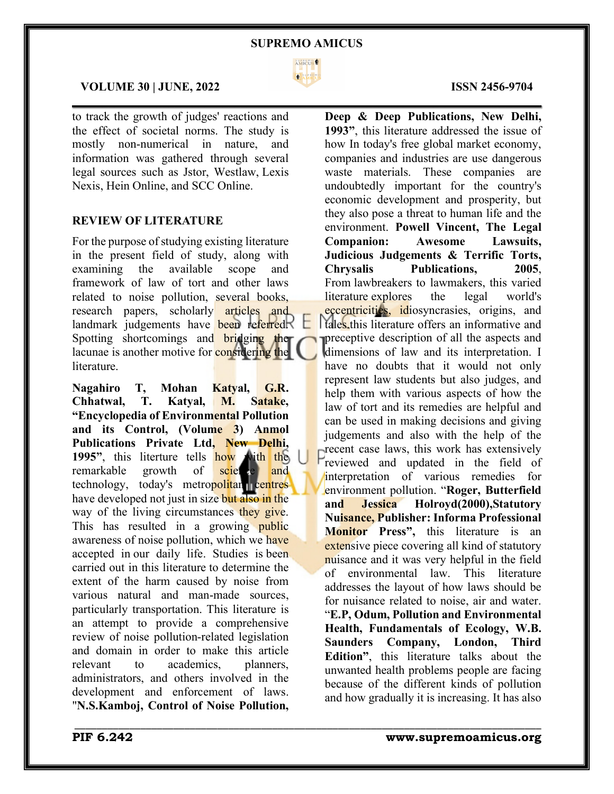

 $\mathcal{L}_\mathcal{L} = \mathcal{L}_\mathcal{L} = \mathcal{L}_\mathcal{L} = \mathcal{L}_\mathcal{L} = \mathcal{L}_\mathcal{L} = \mathcal{L}_\mathcal{L} = \mathcal{L}_\mathcal{L} = \mathcal{L}_\mathcal{L} = \mathcal{L}_\mathcal{L} = \mathcal{L}_\mathcal{L} = \mathcal{L}_\mathcal{L} = \mathcal{L}_\mathcal{L} = \mathcal{L}_\mathcal{L} = \mathcal{L}_\mathcal{L} = \mathcal{L}_\mathcal{L} = \mathcal{L}_\mathcal{L} = \mathcal{L}_\mathcal{L}$ 

\_\_\_\_\_\_\_\_\_\_\_\_\_\_\_\_\_\_\_\_\_\_\_\_\_\_\_\_\_\_\_\_\_\_\_\_\_\_\_\_\_\_\_\_\_\_\_\_\_\_\_\_\_\_\_\_\_\_\_\_\_\_\_\_\_\_\_\_\_\_\_\_\_\_\_\_\_\_\_\_\_\_\_\_\_

# **VOLUME 30 | JUNE, 2022 ISSN 2456-9704**

to track the growth of judges' reactions and the effect of societal norms. The study is mostly non-numerical in nature, and information was gathered through several legal sources such as Jstor, Westlaw, Lexis Nexis, Hein Online, and SCC Online.

# **REVIEW OF LITERATURE**

For the purpose of studying existing literature in the present field of study, along with examining the available scope and framework of law of tort and other laws related to noise pollution, several books, research papers, scholarly articles and landmark judgements have been referred. Spotting shortcomings and **bridging** the lacunae is another motive for **considering the** literature.

**Nagahiro T, Mohan Katyal, G.R. Chhatwal, T. Katyal, M. Satake, "Encyclopedia of Environmental Pollution and its Control, (Volume 3) Anmol Publications Private Ltd, New Delhi, 1995"**, this literture tells how with the remarkable growth of science and technology, today's metropolitan centres have developed not just in size but also in the way of the living circumstances they give. This has resulted in a growing public awareness of noise pollution, which we have accepted in our daily life. Studies is been carried out in this literature to determine the extent of the harm caused by noise from various natural and man-made sources, particularly transportation. This literature is an attempt to provide a comprehensive review of noise pollution-related legislation and domain in order to make this article relevant to academics, planners, administrators, and others involved in the development and enforcement of laws. "**N.S.Kamboj, Control of Noise Pollution,**

**Deep & Deep Publications, New Delhi, 1993"**, this literature addressed the issue of how In today's free global market economy, companies and industries are use dangerous waste materials. These companies are undoubtedly important for the country's economic development and prosperity, but they also pose a threat to human life and the environment. **Powell Vincent, The Legal Companion: Awesome Lawsuits, Judicious Judgements & Terrific Torts, Chrysalis Publications, 2005**, From lawbreakers to lawmakers, this varied literature explores the legal world's eccentricities, idiosyncrasies, origins, and tales.this literature offers an informative and preceptive description of all the aspects and dimensions of law and its interpretation. I have no doubts that it would not only represent law students but also judges, and help them with various aspects of how the law of tort and its remedies are helpful and can be used in making decisions and giving judgements and also with the help of the recent case laws, this work has extensively reviewed and updated in the field of interpretation of various remedies for environment pollution. "**Roger, Butterfield and Jessica Holroyd(2000),Statutory Nuisance, Publisher: Informa Professional Monitor Press",** this literature is an extensive piece covering all kind of statutory nuisance and it was very helpful in the field of environmental law. This literature addresses the layout of how laws should be for nuisance related to noise, air and water. "**E.P, Odum, Pollution and Environmental Health, Fundamentals of Ecology, W.B. Saunders Company, London, Third Edition"**, this literature talks about the unwanted health problems people are facing because of the different kinds of pollution and how gradually it is increasing. It has also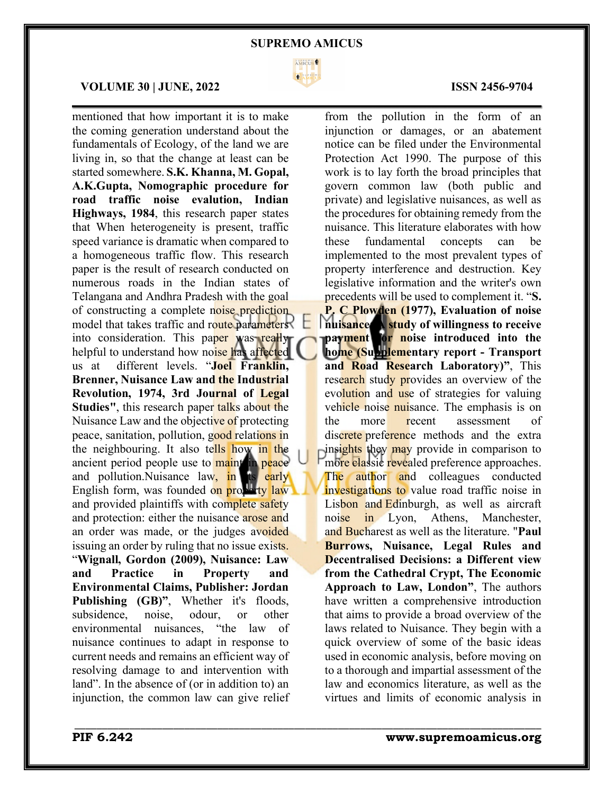

 $\mathcal{L}_\mathcal{L} = \mathcal{L}_\mathcal{L} = \mathcal{L}_\mathcal{L} = \mathcal{L}_\mathcal{L} = \mathcal{L}_\mathcal{L} = \mathcal{L}_\mathcal{L} = \mathcal{L}_\mathcal{L} = \mathcal{L}_\mathcal{L} = \mathcal{L}_\mathcal{L} = \mathcal{L}_\mathcal{L} = \mathcal{L}_\mathcal{L} = \mathcal{L}_\mathcal{L} = \mathcal{L}_\mathcal{L} = \mathcal{L}_\mathcal{L} = \mathcal{L}_\mathcal{L} = \mathcal{L}_\mathcal{L} = \mathcal{L}_\mathcal{L}$ 

\_\_\_\_\_\_\_\_\_\_\_\_\_\_\_\_\_\_\_\_\_\_\_\_\_\_\_\_\_\_\_\_\_\_\_\_\_\_\_\_\_\_\_\_\_\_\_\_\_\_\_\_\_\_\_\_\_\_\_\_\_\_\_\_\_\_\_\_\_\_\_\_\_\_\_\_\_\_\_\_\_\_\_\_\_

# **VOLUME 30 | JUNE, 2022 ISSN 2456-9704**

mentioned that how important it is to make the coming generation understand about the fundamentals of Ecology, of the land we are living in, so that the change at least can be started somewhere. **S.K. Khanna, M. Gopal, A.K.Gupta, Nomographic procedure for road traffic noise evalution, Indian Highways, 1984**, this research paper states that When heterogeneity is present, traffic speed variance is dramatic when compared to a homogeneous traffic flow. This research paper is the result of research conducted on numerous roads in the Indian states of Telangana and Andhra Pradesh with the goal of constructing a complete noise prediction model that takes traffic and route parameters into consideration. This paper was really helpful to understand how noise has affected us at different levels. "**Joel Franklin, Brenner, Nuisance Law and the Industrial Revolution, 1974, 3rd Journal of Legal Studies"**, this research paper talks about the Nuisance Law and the objective of protecting peace, sanitation, pollution, good relations in the neighbouring. It also tells how in the ancient period people use to maintain peace and pollution. Nuisance law, in its early English form, was founded on property law and provided plaintiffs with complete safety and protection: either the nuisance arose and an order was made, or the judges avoided issuing an order by ruling that no issue exists. "**Wignall, Gordon (2009), Nuisance: Law and Practice in Property and Environmental Claims, Publisher: Jordan Publishing (GB)"**, Whether it's floods, subsidence, noise, odour, or other environmental nuisances, "the law of nuisance continues to adapt in response to current needs and remains an efficient way of resolving damage to and intervention with land". In the absence of (or in addition to) an injunction, the common law can give relief

from the pollution in the form of an injunction or damages, or an abatement notice can be filed under the Environmental Protection Act 1990. The purpose of this work is to lay forth the broad principles that govern common law (both public and private) and legislative nuisances, as well as the procedures for obtaining remedy from the nuisance. This literature elaborates with how these fundamental concepts can be implemented to the most prevalent types of property interference and destruction. Key legislative information and the writer's own precedents will be used to complement it. "**S. P. C Plowden (1977), Evaluation of noise nuisance: A study of willingness to receive payment for noise introduced into the home (Supplementary report - Transport and Road Research Laboratory)"**, This research study provides an overview of the evolution and use of strategies for valuing vehicle noise nuisance. The emphasis is on the more recent assessment of discrete preference methods and the extra insights they may provide in comparison to more classic revealed preference approaches. The author and colleagues conducted investigations to value road traffic noise in Lisbon and Edinburgh, as well as aircraft noise in Lyon, Athens, Manchester, and Bucharest as well as the literature. "**Paul Burrows, Nuisance, Legal Rules and Decentralised Decisions: a Different view from the Cathedral Crypt, The Economic Approach to Law, London"**, The authors have written a comprehensive introduction that aims to provide a broad overview of the laws related to Nuisance. They begin with a quick overview of some of the basic ideas used in economic analysis, before moving on to a thorough and impartial assessment of the law and economics literature, as well as the virtues and limits of economic analysis in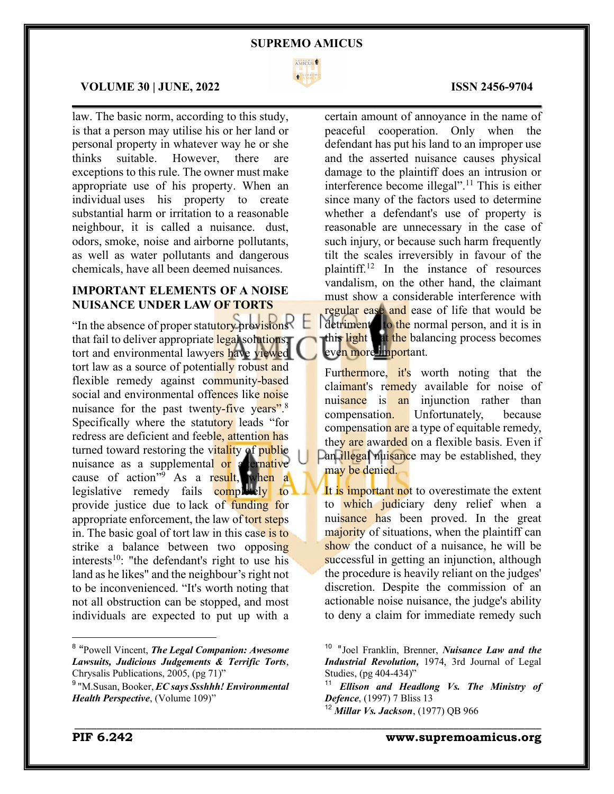

 $\mathcal{L}_\mathcal{L} = \mathcal{L}_\mathcal{L} = \mathcal{L}_\mathcal{L} = \mathcal{L}_\mathcal{L} = \mathcal{L}_\mathcal{L} = \mathcal{L}_\mathcal{L} = \mathcal{L}_\mathcal{L} = \mathcal{L}_\mathcal{L} = \mathcal{L}_\mathcal{L} = \mathcal{L}_\mathcal{L} = \mathcal{L}_\mathcal{L} = \mathcal{L}_\mathcal{L} = \mathcal{L}_\mathcal{L} = \mathcal{L}_\mathcal{L} = \mathcal{L}_\mathcal{L} = \mathcal{L}_\mathcal{L} = \mathcal{L}_\mathcal{L}$ 

## **VOLUME 30 | JUNE, 2022 ISSN 2456-9704**

law. The basic norm, according to this study, is that a person may utilise his or her land or personal property in whatever way he or she thinks suitable. However, there are exceptions to this rule. The owner must make appropriate use of his property. When an individual uses his property to create substantial harm or irritation to a reasonable neighbour, it is called a nuisance. dust, odors, smoke, noise and airborne pollutants, as well as water pollutants and dangerous chemicals, have all been deemed nuisances.

# **IMPORTANT ELEMENTS OF A NOISE NUISANCE UNDER LAW OF TORTS**

"In the absence of proper statutory provisions" that fail to deliver appropriate legal solutions, tort and environmental lawyers have viewed tort law as a source of potentially robust and flexible remedy against community-based social and environmental offences like noise nuisance for the past twenty-five years".<sup>8</sup> Specifically where the statutory leads "for redress are deficient and feeble, attention has turned toward restoring the vitality of public nuisance as a supplemental o<mark>r a</mark>lternative cause of action"<sup>9</sup> As a result, when a legislative remedy fails  $\overline{\text{complex}}$  to provide justice due to lack of funding for appropriate enforcement, the law of tort steps in. The basic goal of tort law in this case is to strike a balance between two opposing interests<sup>10</sup>: "the defendant's right to use his land as he likes" and the neighbour's right not to be inconvenienced. "It's worth noting that not all obstruction can be stopped, and most individuals are expected to put up with a

certain amount of annoyance in the name of peaceful cooperation. Only when the defendant has put his land to an improper use and the asserted nuisance causes physical damage to the plaintiff does an intrusion or interference become illegal". <sup>11</sup> This is either since many of the factors used to determine whether a defendant's use of property is reasonable are unnecessary in the case of such injury, or because such harm frequently tilt the scales irreversibly in favour of the plaintiff.12 In the instance of resources vandalism, on the other hand, the claimant must show a considerable interference with regular ease and ease of life that would be detriment to the normal person, and it is in this light at the balancing process becomes even more important.

Furthermore, it's worth noting that the claimant's remedy available for noise of nuisance is an injunction rather than compensation. Unfortunately, because compensation are a type of equitable remedy, they are awarded on a flexible basis. Even if Dan *illegal* nuisance may be established, they may be denied.

It is important not to overestimate the extent to which judiciary deny relief when a nuisance has been proved. In the great majority of situations, when the plaintiff can show the conduct of a nuisance, he will be successful in getting an injunction, although the procedure is heavily reliant on the judges' discretion. Despite the commission of an actionable noise nuisance, the judge's ability to deny a claim for immediate remedy such

\_\_\_\_\_\_\_\_\_\_\_\_\_\_\_\_\_\_\_\_\_\_\_\_\_\_\_\_\_\_\_\_\_\_\_\_\_\_\_\_\_\_\_\_\_\_\_\_\_\_\_\_\_\_\_\_\_\_\_\_\_\_\_\_\_\_\_\_\_\_\_\_\_\_\_\_\_\_\_\_\_\_\_\_\_

<sup>8</sup> "Powell Vincent, *The Legal Companion: Awesome Lawsuits, Judicious Judgements & Terrific Torts*, Chrysalis Publications, 2005, (pg 71)"

<sup>9</sup> "M.Susan, Booker, *EC says Ssshhh! Environmental Health Perspective*, (Volume 109)"

<sup>10</sup> "Joel Franklin, Brenner, *Nuisance Law and the Industrial Revolution,* 1974, 3rd Journal of Legal Studies, (pg 404-434)"

<sup>11</sup> *Ellison and Headlong Vs. The Ministry of Defence*, (1997) 7 Bliss 13

<sup>12</sup> *Millar Vs. Jackson*, (1977) QB 966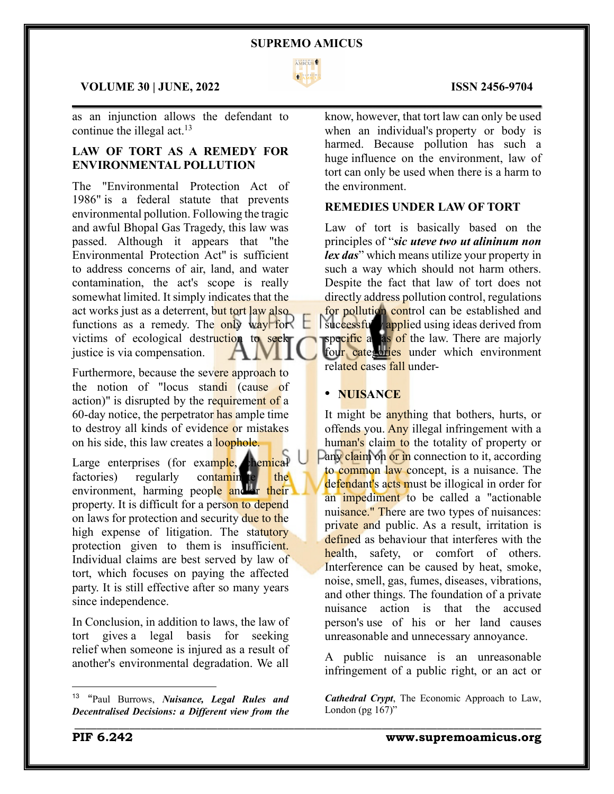

 $\mathcal{L}_\mathcal{L} = \mathcal{L}_\mathcal{L} = \mathcal{L}_\mathcal{L} = \mathcal{L}_\mathcal{L} = \mathcal{L}_\mathcal{L} = \mathcal{L}_\mathcal{L} = \mathcal{L}_\mathcal{L} = \mathcal{L}_\mathcal{L} = \mathcal{L}_\mathcal{L} = \mathcal{L}_\mathcal{L} = \mathcal{L}_\mathcal{L} = \mathcal{L}_\mathcal{L} = \mathcal{L}_\mathcal{L} = \mathcal{L}_\mathcal{L} = \mathcal{L}_\mathcal{L} = \mathcal{L}_\mathcal{L} = \mathcal{L}_\mathcal{L}$ 

# **VOLUME 30 | JUNE, 2022 ISSN 2456-9704**

as an injunction allows the defendant to continue the illegal act.<sup>13</sup>

# **LAW OF TORT AS A REMEDY FOR ENVIRONMENTAL POLLUTION**

The "Environmental Protection Act of 1986" is a federal statute that prevents environmental pollution. Following the tragic and awful Bhopal Gas Tragedy, this law was passed. Although it appears that "the Environmental Protection Act" is sufficient to address concerns of air, land, and water contamination, the act's scope is really somewhat limited. It simply indicates that the act works just as a deterrent, but tort law also functions as a remedy. The only way for victims of ecological destruction to seek justice is via compensation.

Furthermore, because the severe approach to the notion of "locus standi (cause of action)" is disrupted by the requirement of a 60-day notice, the perpetrator has ample time to destroy all kinds of evidence or mistakes on his side, this law creates a loophole.

Large enterprises (for example, chemical factories) regularly contamin te the environment, harming people and or their property. It is difficult for a person to depend on laws for protection and security due to the high expense of litigation. The statutory protection given to them is insufficient. Individual claims are best served by law of tort, which focuses on paying the affected party. It is still effective after so many years since independence.

In Conclusion, in addition to laws, the law of tort gives a legal basis for seeking relief when someone is injured as a result of another's environmental degradation. We all know, however, that tort law can only be used when an individual's property or body is harmed. Because pollution has such a huge influence on the environment, law of tort can only be used when there is a harm to the environment.

# **REMEDIES UNDER LAW OF TORT**

Law of tort is basically based on the principles of "*sic uteve two ut alininum non lex das*" which means utilize your property in such a way which should not harm others. Despite the fact that law of tort does not directly address pollution control, regulations for pollution control can be established and successfully applied using ideas derived from specific a as of the law. There are majorly four categories under which environment related cases fall under-

# ! **NUISANCE**

\_\_\_\_\_\_\_\_\_\_\_\_\_\_\_\_\_\_\_\_\_\_\_\_\_\_\_\_\_\_\_\_\_\_\_\_\_\_\_\_\_\_\_\_\_\_\_\_\_\_\_\_\_\_\_\_\_\_\_\_\_\_\_\_\_\_\_\_\_\_\_\_\_\_\_\_\_\_\_\_\_\_\_\_\_

It might be anything that bothers, hurts, or offends you. Any illegal infringement with a human's claim to the totality of property or Pany claim on or in connection to it, according to common law concept, is a nuisance. The defendant's acts must be illogical in order for an impediment to be called a "actionable" nuisance." There are two types of nuisances: private and public. As a result, irritation is defined as behaviour that interferes with the health, safety, or comfort of others. Interference can be caused by heat, smoke, noise, smell, gas, fumes, diseases, vibrations, and other things. The foundation of a private nuisance action is that the accused person's use of his or her land causes unreasonable and unnecessary annoyance.

A public nuisance is an unreasonable infringement of a public right, or an act or

*Cathedral Crypt*, The Economic Approach to Law, London (pg  $167$ )"

<sup>13</sup> "Paul Burrows, *Nuisance, Legal Rules and Decentralised Decisions: a Different view from the*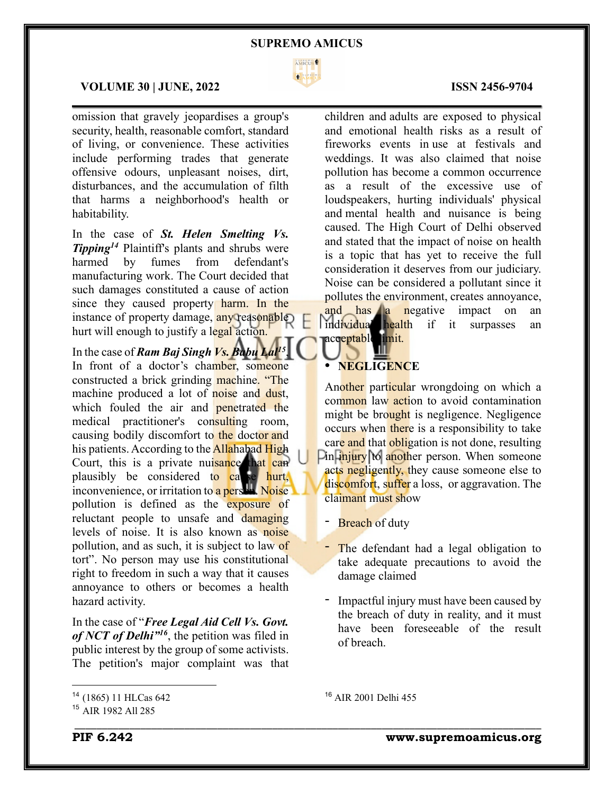

 $\mathcal{L}_\mathcal{L} = \mathcal{L}_\mathcal{L} = \mathcal{L}_\mathcal{L} = \mathcal{L}_\mathcal{L} = \mathcal{L}_\mathcal{L} = \mathcal{L}_\mathcal{L} = \mathcal{L}_\mathcal{L} = \mathcal{L}_\mathcal{L} = \mathcal{L}_\mathcal{L} = \mathcal{L}_\mathcal{L} = \mathcal{L}_\mathcal{L} = \mathcal{L}_\mathcal{L} = \mathcal{L}_\mathcal{L} = \mathcal{L}_\mathcal{L} = \mathcal{L}_\mathcal{L} = \mathcal{L}_\mathcal{L} = \mathcal{L}_\mathcal{L}$ 

# **VOLUME 30 | JUNE, 2022 ISSN 2456-9704**

omission that gravely jeopardises a group's security, health, reasonable comfort, standard of living, or convenience. These activities include performing trades that generate offensive odours, unpleasant noises, dirt, disturbances, and the accumulation of filth that harms a neighborhood's health or habitability.

In the case of *St. Helen Smelting Vs. Tipping14* Plaintiff's plants and shrubs were harmed by fumes from defendant's manufacturing work. The Court decided that such damages constituted a cause of action since they caused property harm. In the instance of property damage, any reasonable hurt will enough to justify a legal action.

In the case of *Ram Baj Singh Vs. Babu Lal15*, In front of a doctor's chamber, someone constructed a brick grinding machine. "The machine produced a lot of noise and dust, which fouled the air and **penetrated** the medical practitioner's consulting room, causing bodily discomfort to the doctor and his patients. According to the Allahabad High Court, this is a private nuisance that can plausibly be considered to cause hurt,  $\frac{1}{2}$  inconvenience, or irritation to a pers<sup> $\frac{1}{2}$ </sup>. Noise. pollution is defined as the exposure of reluctant people to unsafe and damaging levels of noise. It is also known as noise pollution, and as such, it is subject to law of tort". No person may use his constitutional right to freedom in such a way that it causes annoyance to others or becomes a health hazard activity.

In the case of "*Free Legal Aid Cell Vs. Govt. of NCT of Delhi"16*, the petition was filed in public interest by the group of some activists. The petition's major complaint was that

children and adults are exposed to physical and emotional health risks as a result of fireworks events in use at festivals and weddings. It was also claimed that noise pollution has become a common occurrence as a result of the excessive use of loudspeakers, hurting individuals' physical and mental health and nuisance is being caused. The High Court of Delhi observed and stated that the impact of noise on health is a topic that has yet to receive the full consideration it deserves from our judiciary. Noise can be considered a pollutant since it pollutes the environment, creates annoyance, and has a negative impact on an ind<mark>ividual health</mark> if it surpasses an acceptable limit.

# ! **NEGLIGENCE**

Another particular wrongdoing on which a common law action to avoid contamination might be brought is negligence. Negligence occurs when there is a responsibility to take care and that obligation is not done, resulting Din injury to another person. When someone acts negligently, they cause someone else to discomfort, suffer a loss, or aggravation. The claimant must show

- Breach of duty
- The defendant had a legal obligation to take adequate precautions to avoid the damage claimed
- Impactful injury must have been caused by the breach of duty in reality, and it must have been foreseeable of the result of breach.

<sup>16</sup> AIR 2001 Delhi 455

\_\_\_\_\_\_\_\_\_\_\_\_\_\_\_\_\_\_\_\_\_\_\_\_\_\_\_\_\_\_\_\_\_\_\_\_\_\_\_\_\_\_\_\_\_\_\_\_\_\_\_\_\_\_\_\_\_\_\_\_\_\_\_\_\_\_\_\_\_\_\_\_\_\_\_\_\_\_\_\_\_\_\_\_\_

<sup>14</sup> (1865) 11 HLCas 642

<sup>15</sup> AIR 1982 All 285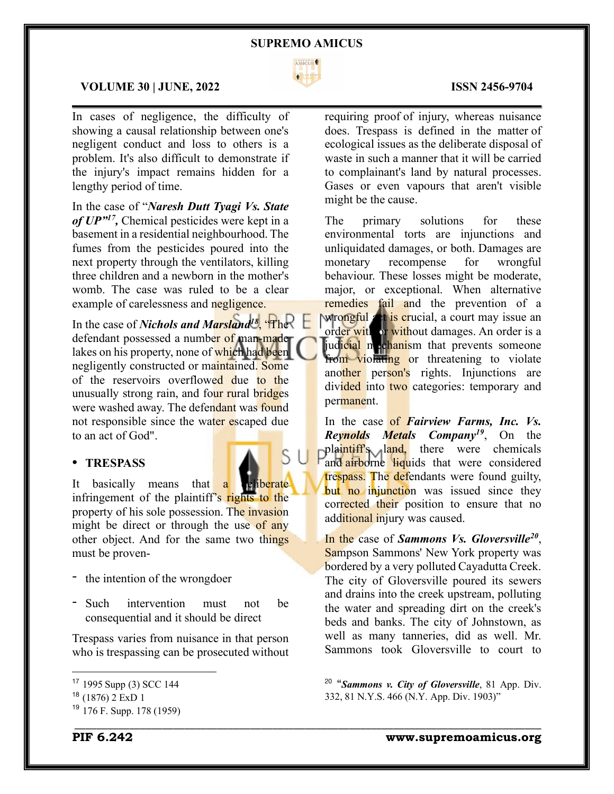

 $\mathcal{L}_\mathcal{L} = \mathcal{L}_\mathcal{L} = \mathcal{L}_\mathcal{L} = \mathcal{L}_\mathcal{L} = \mathcal{L}_\mathcal{L} = \mathcal{L}_\mathcal{L} = \mathcal{L}_\mathcal{L} = \mathcal{L}_\mathcal{L} = \mathcal{L}_\mathcal{L} = \mathcal{L}_\mathcal{L} = \mathcal{L}_\mathcal{L} = \mathcal{L}_\mathcal{L} = \mathcal{L}_\mathcal{L} = \mathcal{L}_\mathcal{L} = \mathcal{L}_\mathcal{L} = \mathcal{L}_\mathcal{L} = \mathcal{L}_\mathcal{L}$ 

\_\_\_\_\_\_\_\_\_\_\_\_\_\_\_\_\_\_\_\_\_\_\_\_\_\_\_\_\_\_\_\_\_\_\_\_\_\_\_\_\_\_\_\_\_\_\_\_\_\_\_\_\_\_\_\_\_\_\_\_\_\_\_\_\_\_\_\_\_\_\_\_\_\_\_\_\_\_\_\_\_\_\_\_\_

ς

# **VOLUME 30 | JUNE, 2022 ISSN 2456-9704**

In cases of negligence, the difficulty of showing a causal relationship between one's negligent conduct and loss to others is a problem. It's also difficult to demonstrate if the injury's impact remains hidden for a lengthy period of time.

In the case of "*Naresh Dutt Tyagi Vs. State of UP"17,* Chemical pesticides were kept in a basement in a residential neighbourhood. The fumes from the pesticides poured into the next property through the ventilators, killing three children and a newborn in the mother's womb. The case was ruled to be a clear example of carelessness and negligence.

In the case of *Nichols* and *Marsland<sup>18</sup>*, 'The defendant possessed a number of man-made lakes on his property, none of which had been negligently constructed or maintained. Some of the reservoirs overflowed due to the unusually strong rain, and four rural bridges were washed away. The defendant was found not responsible since the water escaped due to an act of God".

# ! **TRESPASS**

It basically means that a celiberate infringement of the plaintiff's rights to the property of his sole possession. The invasion might be direct or through the use of any other object. And for the same two things must be proven-

- the intention of the wrongdoer
- Such intervention must not be consequential and it should be direct

Trespass varies from nuisance in that person who is trespassing can be prosecuted without

requiring proof of injury, whereas nuisance does. Trespass is defined in the matter of ecological issues as the deliberate disposal of waste in such a manner that it will be carried to complainant's land by natural processes. Gases or even vapours that aren't visible might be the cause.

The primary solutions for these environmental torts are injunctions and unliquidated damages, or both. Damages are monetary recompense for wrongful behaviour. These losses might be moderate, major, or exceptional. When alternative remedies fail and the prevention of a wrongful set is crucial, a court may issue an order with or without damages. An order is a judicial mechanism that prevents someone from violating or threatening to violate another person's rights. Injunctions are divided into two categories: temporary and permanent.

In the case of *Fairview Farms, Inc. Vs. Reynolds Metals Company19*, On the plaintiff<sup>'</sup>s land, there were chemicals and airborne liquids that were considered trespass. The defendants were found guilty, but no injunction was issued since they corrected their position to ensure that no additional injury was caused.

In the case of *Sammons Vs. Gloversville20*, Sampson Sammons' New York property was bordered by a very polluted Cayadutta Creek. The city of Gloversville poured its sewers and drains into the creek upstream, polluting the water and spreading dirt on the creek's beds and banks. The city of Johnstown, as well as many tanneries, did as well. Mr. Sammons took Gloversville to court to

**PIF 6.242 www.supremoamicus.org**

<sup>17</sup> 1995 Supp (3) SCC 144

 $18$  (1876) 2 ExD 1

 $19$  176 F. Supp. 178 (1959)

<sup>20</sup> "*Sammons v. City of Gloversville*, 81 App. Div. 332, 81 N.Y.S. 466 (N.Y. App. Div. 1903)"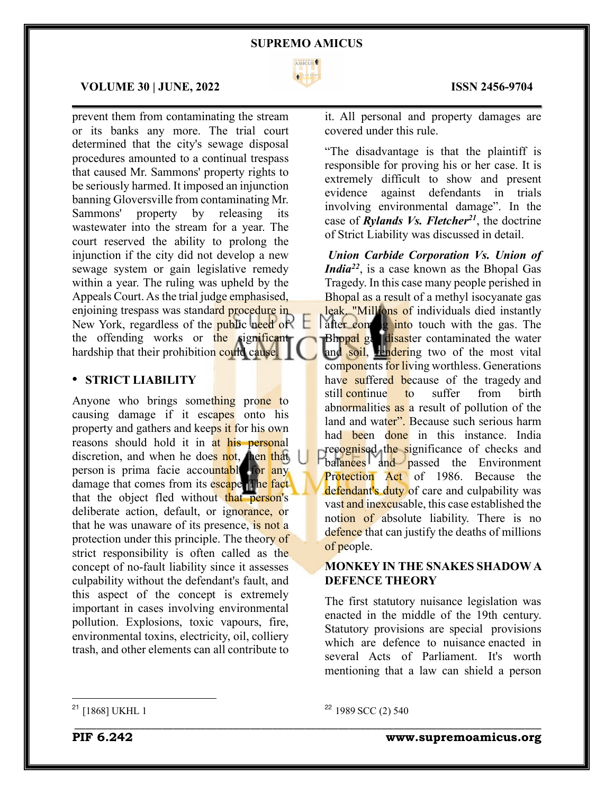

 $\mathcal{L}_\mathcal{L} = \mathcal{L}_\mathcal{L} = \mathcal{L}_\mathcal{L} = \mathcal{L}_\mathcal{L} = \mathcal{L}_\mathcal{L} = \mathcal{L}_\mathcal{L} = \mathcal{L}_\mathcal{L} = \mathcal{L}_\mathcal{L} = \mathcal{L}_\mathcal{L} = \mathcal{L}_\mathcal{L} = \mathcal{L}_\mathcal{L} = \mathcal{L}_\mathcal{L} = \mathcal{L}_\mathcal{L} = \mathcal{L}_\mathcal{L} = \mathcal{L}_\mathcal{L} = \mathcal{L}_\mathcal{L} = \mathcal{L}_\mathcal{L}$ 

### **VOLUME 30 | JUNE, 2022 ISSN 2456-9704**

prevent them from contaminating the stream or its banks any more. The trial court determined that the city's sewage disposal procedures amounted to a continual trespass that caused Mr. Sammons' property rights to be seriously harmed. It imposed an injunction banning Gloversville from contaminating Mr. Sammons' property by releasing its wastewater into the stream for a year. The court reserved the ability to prolong the injunction if the city did not develop a new sewage system or gain legislative remedy within a year. The ruling was upheld by the Appeals Court. As the trial judge emphasised, enjoining trespass was standard procedure in New York, regardless of the public need of  $\Box$ the offending works or the significant hardship that their prohibition could cause.

# ! **STRICT LIABILITY**

Anyone who brings something prone to causing damage if it escapes onto his property and gathers and keeps it for his own reasons should hold it in at his personal discretion, and when he does not, then that person is prima facie accountable for any damage that comes from its escape. The fact that the object fled without that person's deliberate action, default, or ignorance, or that he was unaware of its presence, is not a protection under this principle. The theory of strict responsibility is often called as the concept of no-fault liability since it assesses culpability without the defendant's fault, and this aspect of the concept is extremely important in cases involving environmental pollution. Explosions, toxic vapours, fire, environmental toxins, electricity, oil, colliery trash, and other elements can all contribute to

it. All personal and property damages are covered under this rule.

"The disadvantage is that the plaintiff is responsible for proving his or her case. It is extremely difficult to show and present evidence against defendants in trials involving environmental damage". In the case of *Rylands Vs. Fletcher21*, the doctrine of Strict Liability was discussed in detail.

*Union Carbide Corporation Vs. Union of India*<sup>22</sup>, is a case known as the Bhopal Gas Tragedy. In this case many people perished in Bhopal as a result of a methyl isocyanate gas leak. "Millions of individuals died instantly after coming into touch with the gas. The Bhopal gas disaster contaminated the water and soil, rendering two of the most vital components for living worthless. Generations have suffered because of the tragedy and still continue to suffer from birth abnormalities as a result of pollution of the land and water". Because such serious harm had been done in this instance. India recognised the significance of checks and balances and passed the Environment Protection Act of 1986. Because the defendant's duty of care and culpability was vast and inexcusable, this case established the notion of absolute liability. There is no defence that can justify the deaths of millions of people.

# **MONKEY IN THE SNAKES SHADOWA DEFENCE THEORY**

The first statutory nuisance legislation was enacted in the middle of the 19th century. Statutory provisions are special provisions which are defence to nuisance enacted in several Acts of Parliament. It's worth mentioning that a law can shield a person

<sup>21</sup> [1868] UKHL 1

## <sup>22</sup> 1989 SCC (2) 540

\_\_\_\_\_\_\_\_\_\_\_\_\_\_\_\_\_\_\_\_\_\_\_\_\_\_\_\_\_\_\_\_\_\_\_\_\_\_\_\_\_\_\_\_\_\_\_\_\_\_\_\_\_\_\_\_\_\_\_\_\_\_\_\_\_\_\_\_\_\_\_\_\_\_\_\_\_\_\_\_\_\_\_\_\_

**PIF 6.242 www.supremoamicus.org**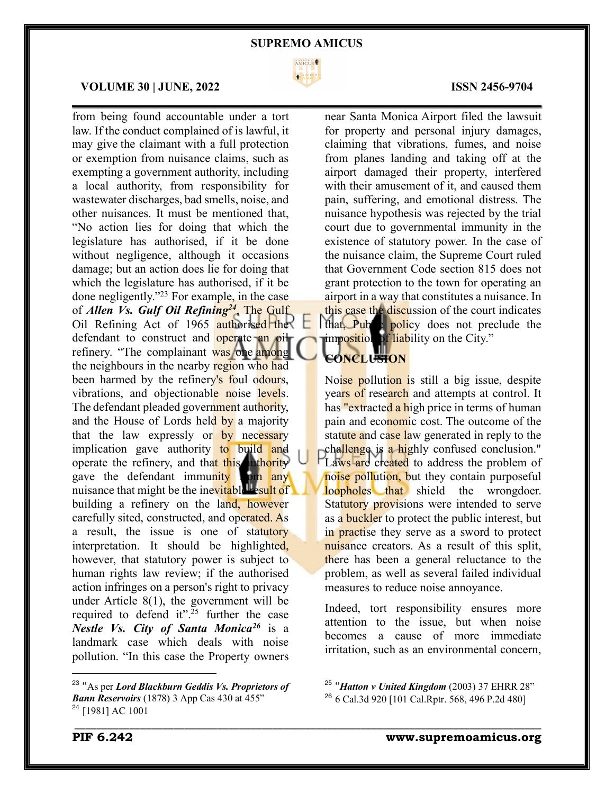

 $\mathcal{L}_\mathcal{L} = \mathcal{L}_\mathcal{L} = \mathcal{L}_\mathcal{L} = \mathcal{L}_\mathcal{L} = \mathcal{L}_\mathcal{L} = \mathcal{L}_\mathcal{L} = \mathcal{L}_\mathcal{L} = \mathcal{L}_\mathcal{L} = \mathcal{L}_\mathcal{L} = \mathcal{L}_\mathcal{L} = \mathcal{L}_\mathcal{L} = \mathcal{L}_\mathcal{L} = \mathcal{L}_\mathcal{L} = \mathcal{L}_\mathcal{L} = \mathcal{L}_\mathcal{L} = \mathcal{L}_\mathcal{L} = \mathcal{L}_\mathcal{L}$ 

\_\_\_\_\_\_\_\_\_\_\_\_\_\_\_\_\_\_\_\_\_\_\_\_\_\_\_\_\_\_\_\_\_\_\_\_\_\_\_\_\_\_\_\_\_\_\_\_\_\_\_\_\_\_\_\_\_\_\_\_\_\_\_\_\_\_\_\_\_\_\_\_\_\_\_\_\_\_\_\_\_\_\_\_\_

### **VOLUME 30 | JUNE, 2022 ISSN 2456-9704**

from being found accountable under a tort law. If the conduct complained of is lawful, it may give the claimant with a full protection or exemption from nuisance claims, such as exempting a government authority, including a local authority, from responsibility for wastewater discharges, bad smells, noise, and other nuisances. It must be mentioned that, "No action lies for doing that which the legislature has authorised, if it be done without negligence, although it occasions damage; but an action does lie for doing that which the legislature has authorised, if it be done negligently."23 For example, in the case of *Allen Vs. Gulf Oil Refining24*, The Gulf Oil Refining Act of  $1965$  authorised the defendant to construct and operate an oil refinery. "The complainant was one among the neighbours in the nearby region who had been harmed by the refinery's foul odours, vibrations, and objectionable noise levels. The defendant pleaded government authority, and the House of Lords held by a majority that the law expressly or by necessary implication gave authority to build and operate the refinery, and that this authority gave the defendant immunity  $\lim_{n \to \infty}$ nuisance that might be the inevitable result of building a refinery on the land, however carefully sited, constructed, and operated. As a result, the issue is one of statutory interpretation. It should be highlighted, however, that statutory power is subject to human rights law review; if the authorised action infringes on a person's right to privacy under Article 8(1), the government will be required to defend it".<sup>25</sup> further the case *Nestle Vs. City of Santa Monica26* is a landmark case which deals with noise pollution. "In this case the Property owners

near Santa Monica Airport filed the lawsuit for property and personal injury damages, claiming that vibrations, fumes, and noise from planes landing and taking off at the airport damaged their property, interfered with their amusement of it, and caused them pain, suffering, and emotional distress. The nuisance hypothesis was rejected by the trial court due to governmental immunity in the existence of statutory power. In the case of the nuisance claim, the Supreme Court ruled that Government Code section 815 does not grant protection to the town for operating an airport in a way that constitutes a nuisance. In this case the discussion of the court indicates that, Public policy does not preclude the imposition of liability on the City."

# **CONCLUSION**

Noise pollution is still a big issue, despite years of research and attempts at control. It has "extracted a high price in terms of human pain and economic cost. The outcome of the statute and case law generated in reply to the challenge is a highly confused conclusion." Laws are created to address the problem of noise pollution, but they contain purposeful loopholes that shield the wrongdoer. Statutory provisions were intended to serve as a buckler to protect the public interest, but in practise they serve as a sword to protect nuisance creators. As a result of this split, there has been a general reluctance to the problem, as well as several failed individual measures to reduce noise annoyance.

Indeed, tort responsibility ensures more attention to the issue, but when noise becomes a cause of more immediate irritation, such as an environmental concern,

<sup>23</sup> "As per *Lord Blackburn Geddis Vs. Proprietors of Bann Reservoirs* (1878) 3 App Cas 430 at 455" <sup>24</sup> [1981] AC 1001

<sup>25</sup> "*Hatton v United Kingdom* (2003) 37 EHRR 28" <sup>26</sup> 6 Cal.3d 920 [101 Cal.Rptr. 568, 496 P.2d 480]